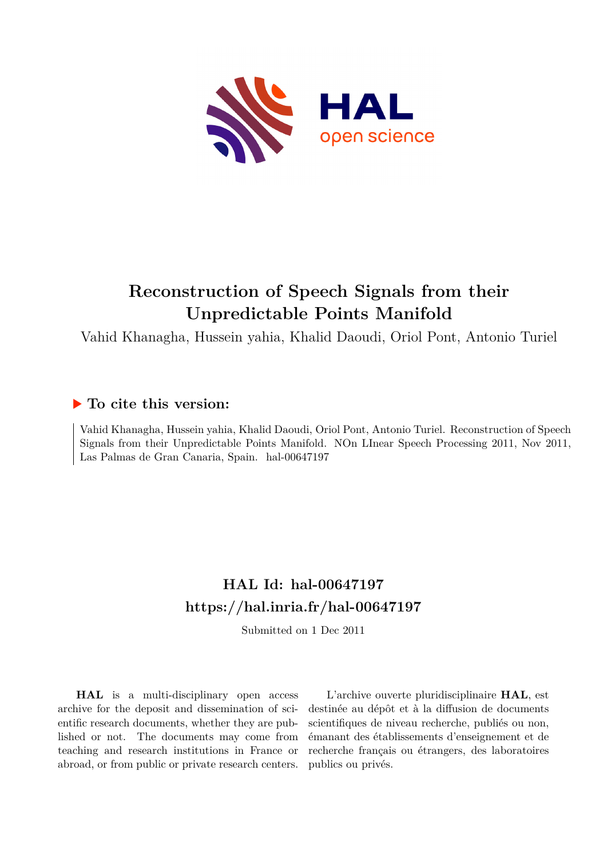

# **Reconstruction of Speech Signals from their Unpredictable Points Manifold**

Vahid Khanagha, Hussein yahia, Khalid Daoudi, Oriol Pont, Antonio Turiel

# **To cite this version:**

Vahid Khanagha, Hussein yahia, Khalid Daoudi, Oriol Pont, Antonio Turiel. Reconstruction of Speech Signals from their Unpredictable Points Manifold. NOn LInear Speech Processing 2011, Nov 2011, Las Palmas de Gran Canaria, Spain. hal-00647197

# **HAL Id: hal-00647197 <https://hal.inria.fr/hal-00647197>**

Submitted on 1 Dec 2011

**HAL** is a multi-disciplinary open access archive for the deposit and dissemination of scientific research documents, whether they are published or not. The documents may come from teaching and research institutions in France or abroad, or from public or private research centers.

L'archive ouverte pluridisciplinaire **HAL**, est destinée au dépôt et à la diffusion de documents scientifiques de niveau recherche, publiés ou non, émanant des établissements d'enseignement et de recherche français ou étrangers, des laboratoires publics ou privés.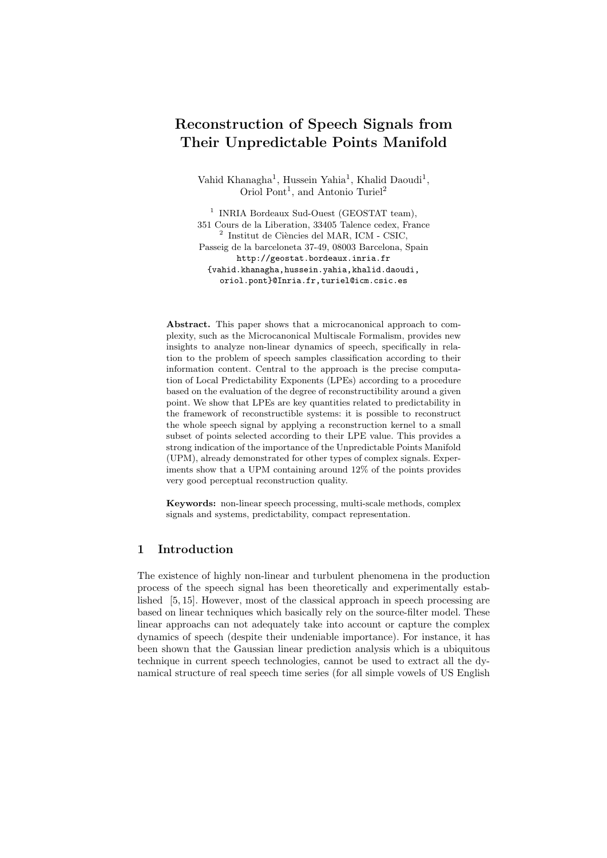# Reconstruction of Speech Signals from Their Unpredictable Points Manifold

Vahid Khanagha<sup>1</sup>, Hussein Yahia<sup>1</sup>, Khalid Daoudi<sup>1</sup>, Oriol Pont<sup>1</sup>, and Antonio Turiel<sup>2</sup>

<sup>1</sup> INRIA Bordeaux Sud-Ouest (GEOSTAT team), 351 Cours de la Liberation, 33405 Talence cedex, France  $^2$  Institut de Ciències del MAR, ICM - CSIC, Passeig de la barceloneta 37-49, 08003 Barcelona, Spain http://geostat.bordeaux.inria.fr {vahid.khanagha,hussein.yahia,khalid.daoudi, oriol.pont}@Inria.fr,turiel@icm.csic.es

Abstract. This paper shows that a microcanonical approach to complexity, such as the Microcanonical Multiscale Formalism, provides new insights to analyze non-linear dynamics of speech, specifically in relation to the problem of speech samples classification according to their information content. Central to the approach is the precise computation of Local Predictability Exponents (LPEs) according to a procedure based on the evaluation of the degree of reconstructibility around a given point. We show that LPEs are key quantities related to predictability in the framework of reconstructible systems: it is possible to reconstruct the whole speech signal by applying a reconstruction kernel to a small subset of points selected according to their LPE value. This provides a strong indication of the importance of the Unpredictable Points Manifold (UPM), already demonstrated for other types of complex signals. Experiments show that a UPM containing around 12% of the points provides very good perceptual reconstruction quality.

Keywords: non-linear speech processing, multi-scale methods, complex signals and systems, predictability, compact representation.

## 1 Introduction

The existence of highly non-linear and turbulent phenomena in the production process of the speech signal has been theoretically and experimentally established [5, 15]. However, most of the classical approach in speech processing are based on linear techniques which basically rely on the source-filter model. These linear approachs can not adequately take into account or capture the complex dynamics of speech (despite their undeniable importance). For instance, it has been shown that the Gaussian linear prediction analysis which is a ubiquitous technique in current speech technologies, cannot be used to extract all the dynamical structure of real speech time series (for all simple vowels of US English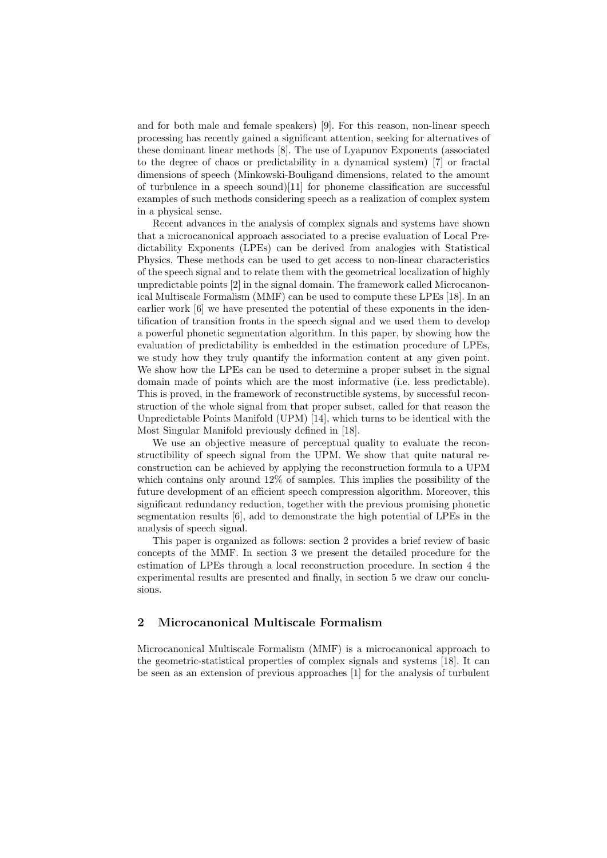and for both male and female speakers) [9]. For this reason, non-linear speech processing has recently gained a significant attention, seeking for alternatives of these dominant linear methods [8]. The use of Lyapunov Exponents (associated to the degree of chaos or predictability in a dynamical system) [7] or fractal dimensions of speech (Minkowski-Bouligand dimensions, related to the amount of turbulence in a speech sound)[11] for phoneme classification are successful examples of such methods considering speech as a realization of complex system in a physical sense.

Recent advances in the analysis of complex signals and systems have shown that a microcanonical approach associated to a precise evaluation of Local Predictability Exponents (LPEs) can be derived from analogies with Statistical Physics. These methods can be used to get access to non-linear characteristics of the speech signal and to relate them with the geometrical localization of highly unpredictable points [2] in the signal domain. The framework called Microcanonical Multiscale Formalism (MMF) can be used to compute these LPEs [18]. In an earlier work [6] we have presented the potential of these exponents in the identification of transition fronts in the speech signal and we used them to develop a powerful phonetic segmentation algorithm. In this paper, by showing how the evaluation of predictability is embedded in the estimation procedure of LPEs, we study how they truly quantify the information content at any given point. We show how the LPEs can be used to determine a proper subset in the signal domain made of points which are the most informative (i.e. less predictable). This is proved, in the framework of reconstructible systems, by successful reconstruction of the whole signal from that proper subset, called for that reason the Unpredictable Points Manifold (UPM) [14], which turns to be identical with the Most Singular Manifold previously defined in [18].

We use an objective measure of perceptual quality to evaluate the reconstructibility of speech signal from the UPM. We show that quite natural reconstruction can be achieved by applying the reconstruction formula to a UPM which contains only around 12% of samples. This implies the possibility of the future development of an efficient speech compression algorithm. Moreover, this significant redundancy reduction, together with the previous promising phonetic segmentation results [6], add to demonstrate the high potential of LPEs in the analysis of speech signal.

This paper is organized as follows: section 2 provides a brief review of basic concepts of the MMF. In section 3 we present the detailed procedure for the estimation of LPEs through a local reconstruction procedure. In section 4 the experimental results are presented and finally, in section 5 we draw our conclusions.

## 2 Microcanonical Multiscale Formalism

Microcanonical Multiscale Formalism (MMF) is a microcanonical approach to the geometric-statistical properties of complex signals and systems [18]. It can be seen as an extension of previous approaches [1] for the analysis of turbulent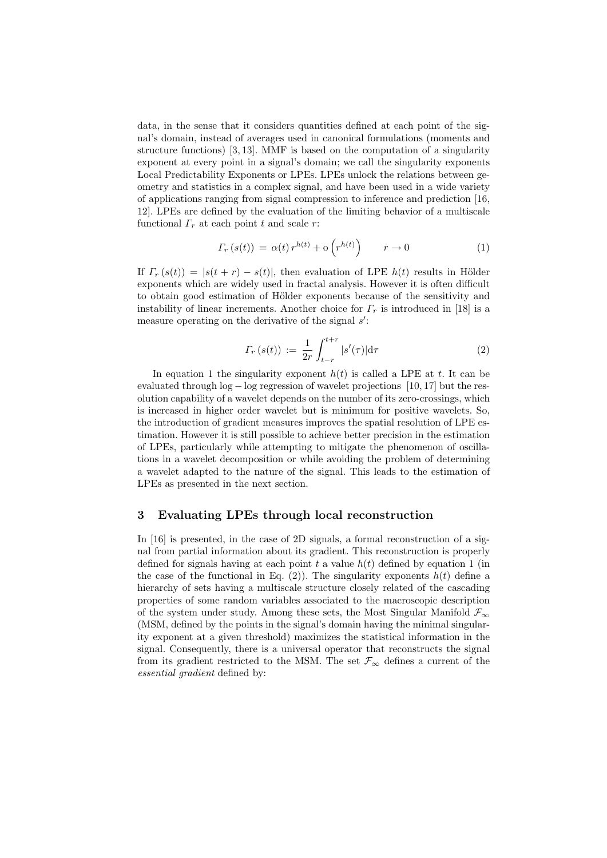data, in the sense that it considers quantities defined at each point of the signal's domain, instead of averages used in canonical formulations (moments and structure functions) [3, 13]. MMF is based on the computation of a singularity exponent at every point in a signal's domain; we call the singularity exponents Local Predictability Exponents or LPEs. LPEs unlock the relations between geometry and statistics in a complex signal, and have been used in a wide variety of applications ranging from signal compression to inference and prediction [16, 12]. LPEs are defined by the evaluation of the limiting behavior of a multiscale functional  $\Gamma_r$  at each point t and scale r:

$$
\Gamma_r(s(t)) = \alpha(t) r^{h(t)} + o\left(r^{h(t)}\right) \qquad r \to 0 \tag{1}
$$

If  $\Gamma_r(s(t)) = |s(t + r) - s(t)|$ , then evaluation of LPE  $h(t)$  results in Hölder exponents which are widely used in fractal analysis. However it is often difficult to obtain good estimation of Hölder exponents because of the sensitivity and instability of linear increments. Another choice for  $\Gamma_r$  is introduced in [18] is a measure operating on the derivative of the signal s':

$$
\Gamma_r(s(t)) := \frac{1}{2r} \int_{t-r}^{t+r} |s'(\tau)| d\tau \tag{2}
$$

In equation 1 the singularity exponent  $h(t)$  is called a LPE at t. It can be evaluated through log − log regression of wavelet projections [10, 17] but the resolution capability of a wavelet depends on the number of its zero-crossings, which is increased in higher order wavelet but is minimum for positive wavelets. So, the introduction of gradient measures improves the spatial resolution of LPE estimation. However it is still possible to achieve better precision in the estimation of LPEs, particularly while attempting to mitigate the phenomenon of oscillations in a wavelet decomposition or while avoiding the problem of determining a wavelet adapted to the nature of the signal. This leads to the estimation of LPEs as presented in the next section.

#### 3 Evaluating LPEs through local reconstruction

In [16] is presented, in the case of 2D signals, a formal reconstruction of a signal from partial information about its gradient. This reconstruction is properly defined for signals having at each point t a value  $h(t)$  defined by equation 1 (in the case of the functional in Eq. (2)). The singularity exponents  $h(t)$  define a hierarchy of sets having a multiscale structure closely related of the cascading properties of some random variables associated to the macroscopic description of the system under study. Among these sets, the Most Singular Manifold  $\mathcal{F}_\infty$ (MSM, defined by the points in the signal's domain having the minimal singularity exponent at a given threshold) maximizes the statistical information in the signal. Consequently, there is a universal operator that reconstructs the signal from its gradient restricted to the MSM. The set  $\mathcal{F}_{\infty}$  defines a current of the essential gradient defined by: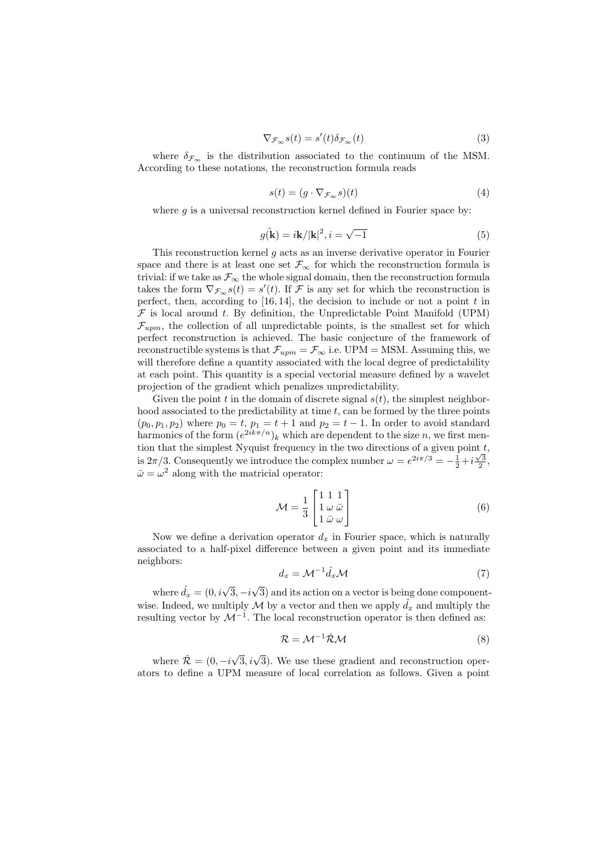$$
\nabla_{\mathcal{F}_{\infty}} s(t) = s'(t) \delta_{\mathcal{F}_{\infty}}(t)
$$
\n(3)

where  $\delta_{\mathcal{F}_{\infty}}$  is the distribution associated to the continuum of the MSM. According to these notations, the reconstruction formula reads

$$
s(t) = (g \cdot \nabla_{\mathcal{F}_{\infty}} s)(t)
$$
 (4)

where  $g$  is a universal reconstruction kernel defined in Fourier space by:

$$
g(\mathbf{\hat{k}}) = i\mathbf{k}/|\mathbf{k}|^2, i = \sqrt{-1}
$$
\n(5)

This reconstruction kernel g acts as an inverse derivative operator in Fourier space and there is at least one set  $\mathcal{F}_{\infty}$  for which the reconstruction formula is trivial: if we take as  $\mathcal{F}_{\infty}$  the whole signal domain, then the reconstruction formula takes the form  $\nabla_{\mathcal{F}_{\infty}} s(t) = s'(t)$ . If  $\mathcal{F}$  is any set for which the reconstruction is perfect, then, according to  $[16, 14]$ , the decision to include or not a point t in  $F$  is local around t. By definition, the Unpredictable Point Manifold (UPM)  $\mathcal{F}_{upm}$ , the collection of all unpredictable points, is the smallest set for which perfect reconstruction is achieved. The basic conjecture of the framework of reconstructible systems is that  $\mathcal{F}_{upm} = \mathcal{F}_{\infty}$  i.e. UPM = MSM. Assuming this, we will therefore define a quantity associated with the local degree of predictability at each point. This quantity is a special vectorial measure defined by a wavelet projection of the gradient which penalizes unpredictability.

Given the point t in the domain of discrete signal  $s(t)$ , the simplest neighborhood associated to the predictability at time  $t$ , can be formed by the three points  $(p_0, p_1, p_2)$  where  $p_0 = t$ ,  $p_1 = t + 1$  and  $p_2 = t - 1$ . In order to avoid standard harmonics of the form  $(e^{2ik\pi/n})_k$  which are dependent to the size n, we first mention that the simplest Nyquist frequency in the two directions of a given point  $t$ , is  $2\pi/3$ . Consequently we introduce the complex number  $\omega = e^{2i\pi/3} = -\frac{1}{2} + i\frac{\sqrt{3}}{2}$ ,  $\bar{\omega} = \omega^2$  along with the matricial operator:

$$
\mathcal{M} = \frac{1}{3} \begin{bmatrix} 1 & 1 & 1 \\ 1 & \omega & \bar{\omega} \\ 1 & \bar{\omega} & \omega \end{bmatrix}
$$
 (6)

Now we define a derivation operator  $d_x$  in Fourier space, which is naturally associated to a half-pixel difference between a given point and its immediate neighbors:

$$
d_x = \mathcal{M}^{-1} \hat{d}_x \mathcal{M} \tag{7}
$$

where  $\hat{d}_x = (0, i\sqrt{3}, -i\sqrt{3})$  and its action on a vector is being done componentwise. Indeed, we multiply M by a vector and then we apply  $\hat{d}_x$  and multiply the resulting vector by  $\mathcal{M}^{-1}$ . The local reconstruction operator is then defined as:

$$
\mathcal{R} = \mathcal{M}^{-1} \hat{\mathcal{R}} \mathcal{M} \tag{8}
$$

where  $\hat{\mathcal{R}} = (0, -i\sqrt{3}, i\sqrt{3})$ . We use these gradient and reconstruction operators to define a UPM measure of local correlation as follows. Given a point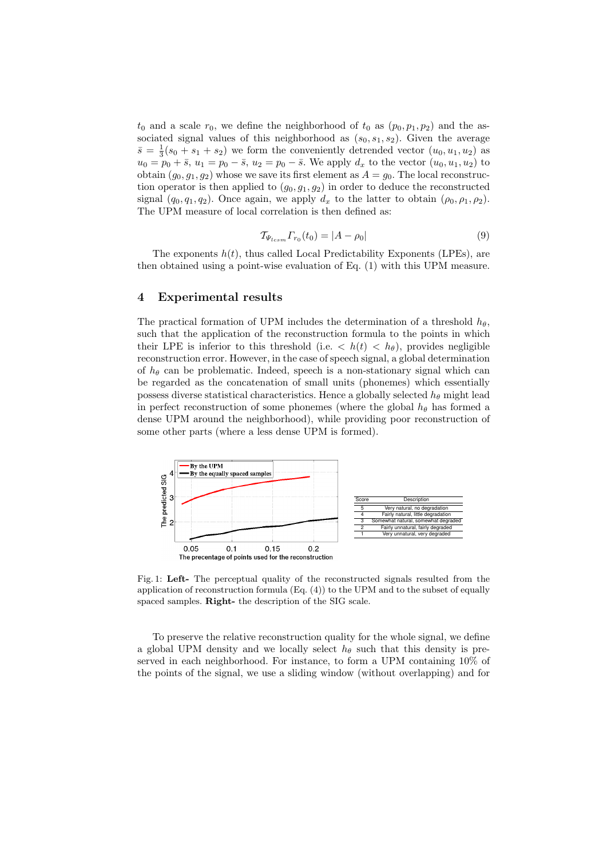$t_0$  and a scale  $r_0$ , we define the neighborhood of  $t_0$  as  $(p_0, p_1, p_2)$  and the associated signal values of this neighborhood as  $(s_0, s_1, s_2)$ . Given the average  $\bar{s} = \frac{1}{3}(s_0 + s_1 + s_2)$  we form the conveniently detrended vector  $(u_0, u_1, u_2)$  as  $u_0 = p_0 + \bar{s}, u_1 = p_0 - \bar{s}, u_2 = p_0 - \bar{s}$ . We apply  $d_x$  to the vector  $(u_0, u_1, u_2)$  to obtain  $(g_0, g_1, g_2)$  whose we save its first element as  $A = g_0$ . The local reconstruction operator is then applied to  $(g_0, g_1, g_2)$  in order to deduce the reconstructed signal  $(q_0, q_1, q_2)$ . Once again, we apply  $d_x$  to the latter to obtain  $(\rho_0, \rho_1, \rho_2)$ . The UPM measure of local correlation is then defined as:

$$
\mathcal{T}_{\Psi_{lcsm}}\Gamma_{r_0}(t_0) = |A - \rho_0| \tag{9}
$$

The exponents  $h(t)$ , thus called Local Predictability Exponents (LPEs), are then obtained using a point-wise evaluation of Eq. (1) with this UPM measure.

#### 4 Experimental results

The practical formation of UPM includes the determination of a threshold  $h_{\theta}$ , such that the application of the reconstruction formula to the points in which their LPE is inferior to this threshold (i.e.  $\langle h(t) \rangle \langle h_{\theta}$ ), provides negligible reconstruction error. However, in the case of speech signal, a global determination of  $h_{\theta}$  can be problematic. Indeed, speech is a non-stationary signal which can be regarded as the concatenation of small units (phonemes) which essentially possess diverse statistical characteristics. Hence a globally selected  $h_{\theta}$  might lead in perfect reconstruction of some phonemes (where the global  $h_{\theta}$  has formed a dense UPM around the neighborhood), while providing poor reconstruction of some other parts (where a less dense UPM is formed).



Fig. 1: Left- The perceptual quality of the reconstructed signals resulted from the application of reconstruction formula (Eq. (4)) to the UPM and to the subset of equally spaced samples. Right- the description of the SIG scale.

To preserve the relative reconstruction quality for the whole signal, we define a global UPM density and we locally select  $h_{\theta}$  such that this density is preserved in each neighborhood. For instance, to form a UPM containing 10% of the points of the signal, we use a sliding window (without overlapping) and for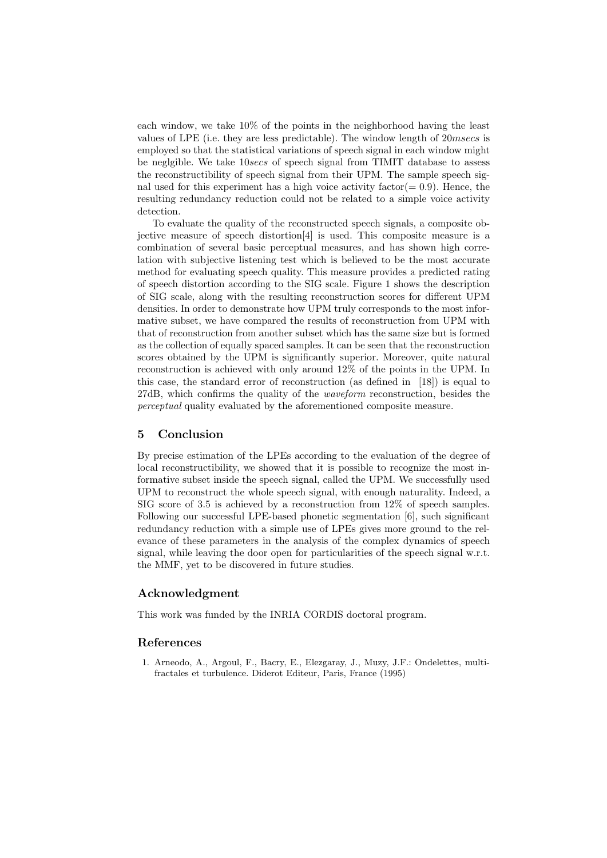each window, we take 10% of the points in the neighborhood having the least values of LPE (i.e. they are less predictable). The window length of 20msecs is employed so that the statistical variations of speech signal in each window might be neglgible. We take 10secs of speech signal from TIMIT database to assess the reconstructibility of speech signal from their UPM. The sample speech signal used for this experiment has a high voice activity factor( $= 0.9$ ). Hence, the resulting redundancy reduction could not be related to a simple voice activity detection.

To evaluate the quality of the reconstructed speech signals, a composite objective measure of speech distortion[4] is used. This composite measure is a combination of several basic perceptual measures, and has shown high correlation with subjective listening test which is believed to be the most accurate method for evaluating speech quality. This measure provides a predicted rating of speech distortion according to the SIG scale. Figure 1 shows the description of SIG scale, along with the resulting reconstruction scores for different UPM densities. In order to demonstrate how UPM truly corresponds to the most informative subset, we have compared the results of reconstruction from UPM with that of reconstruction from another subset which has the same size but is formed as the collection of equally spaced samples. It can be seen that the reconstruction scores obtained by the UPM is significantly superior. Moreover, quite natural reconstruction is achieved with only around 12% of the points in the UPM. In this case, the standard error of reconstruction (as defined in [18]) is equal to 27dB, which confirms the quality of the waveform reconstruction, besides the perceptual quality evaluated by the aforementioned composite measure.

### 5 Conclusion

By precise estimation of the LPEs according to the evaluation of the degree of local reconstructibility, we showed that it is possible to recognize the most informative subset inside the speech signal, called the UPM. We successfully used UPM to reconstruct the whole speech signal, with enough naturality. Indeed, a SIG score of 3.5 is achieved by a reconstruction from 12% of speech samples. Following our successful LPE-based phonetic segmentation [6], such significant redundancy reduction with a simple use of LPEs gives more ground to the relevance of these parameters in the analysis of the complex dynamics of speech signal, while leaving the door open for particularities of the speech signal w.r.t. the MMF, yet to be discovered in future studies.

#### Acknowledgment

This work was funded by the INRIA CORDIS doctoral program.

### References

1. Arneodo, A., Argoul, F., Bacry, E., Elezgaray, J., Muzy, J.F.: Ondelettes, multifractales et turbulence. Diderot Editeur, Paris, France (1995)